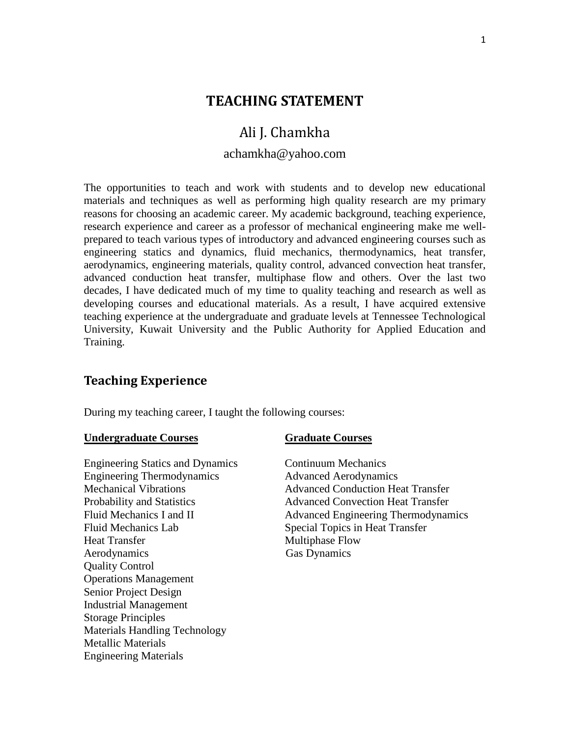## **TEACHING STATEMENT**

# Ali J. Chamkha

## achamkha@yahoo.com

The opportunities to teach and work with students and to develop new educational materials and techniques as well as performing high quality research are my primary reasons for choosing an academic career. My academic background, teaching experience, research experience and career as a professor of mechanical engineering make me wellprepared to teach various types of introductory and advanced engineering courses such as engineering statics and dynamics, fluid mechanics, thermodynamics, heat transfer, aerodynamics, engineering materials, quality control, advanced convection heat transfer, advanced conduction heat transfer, multiphase flow and others. Over the last two decades, I have dedicated much of my time to quality teaching and research as well as developing courses and educational materials. As a result, I have acquired extensive teaching experience at the undergraduate and graduate levels at Tennessee Technological University, Kuwait University and the Public Authority for Applied Education and Training.

## **Teaching Experience**

During my teaching career, I taught the following courses:

### **Undergraduate Courses Graduate Courses**

Engineering Statics and Dynamics Continuum Mechanics Engineering Thermodynamics Advanced Aerodynamics Fluid Mechanics Lab Special Topics in Heat Transfer Heat Transfer Multiphase Flow Aerodynamics Gas Dynamics Quality Control Operations Management Senior Project Design Industrial Management Storage Principles Materials Handling Technology Metallic Materials Engineering Materials

Mechanical Vibrations Advanced Conduction Heat Transfer Probability and Statistics Advanced Convection Heat Transfer Fluid Mechanics I and II and H Advanced Engineering Thermodynamics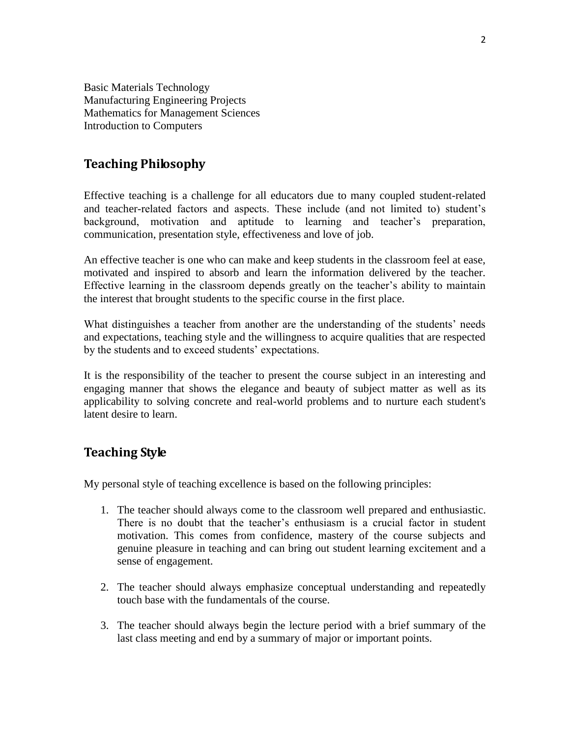Basic Materials Technology Manufacturing Engineering Projects Mathematics for Management Sciences Introduction to Computers

## **Teaching Philosophy**

Effective teaching is a challenge for all educators due to many coupled student-related and teacher-related factors and aspects. These include (and not limited to) student's background, motivation and aptitude to learning and teacher's preparation, communication, presentation style, effectiveness and love of job.

An effective teacher is one who can make and keep students in the classroom feel at ease, motivated and inspired to absorb and learn the information delivered by the teacher. Effective learning in the classroom depends greatly on the teacher's ability to maintain the interest that brought students to the specific course in the first place.

What distinguishes a teacher from another are the understanding of the students' needs and expectations, teaching style and the willingness to acquire qualities that are respected by the students and to exceed students' expectations.

It is the responsibility of the teacher to present the course subject in an interesting and engaging manner that shows the elegance and beauty of subject matter as well as its applicability to solving concrete and real-world problems and to nurture each student's latent desire to learn.

## **Teaching Style**

My personal style of teaching excellence is based on the following principles:

- 1. The teacher should always come to the classroom well prepared and enthusiastic. There is no doubt that the teacher's enthusiasm is a crucial factor in student motivation. This comes from confidence, mastery of the course subjects and genuine pleasure in teaching and can bring out student learning excitement and a sense of engagement.
- 2. The teacher should always emphasize conceptual understanding and repeatedly touch base with the fundamentals of the course.
- 3. The teacher should always begin the lecture period with a brief summary of the last class meeting and end by a summary of major or important points.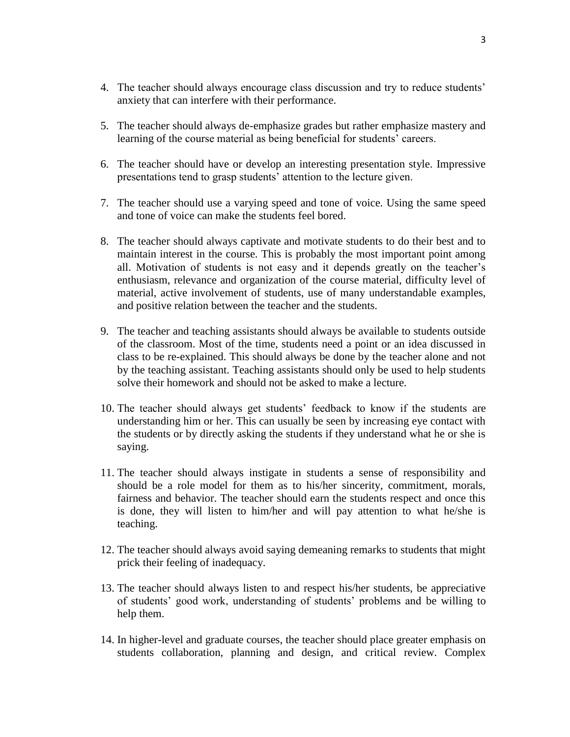- 4. The teacher should always encourage class discussion and try to reduce students' anxiety that can interfere with their performance.
- 5. The teacher should always de-emphasize grades but rather emphasize mastery and learning of the course material as being beneficial for students' careers.
- 6. The teacher should have or develop an interesting presentation style. Impressive presentations tend to grasp students' attention to the lecture given.
- 7. The teacher should use a varying speed and tone of voice. Using the same speed and tone of voice can make the students feel bored.
- 8. The teacher should always captivate and motivate students to do their best and to maintain interest in the course. This is probably the most important point among all. Motivation of students is not easy and it depends greatly on the teacher's enthusiasm, relevance and organization of the course material, difficulty level of material, active involvement of students, use of many understandable examples, and positive relation between the teacher and the students.
- 9. The teacher and teaching assistants should always be available to students outside of the classroom. Most of the time, students need a point or an idea discussed in class to be re-explained. This should always be done by the teacher alone and not by the teaching assistant. Teaching assistants should only be used to help students solve their homework and should not be asked to make a lecture.
- 10. The teacher should always get students' feedback to know if the students are understanding him or her. This can usually be seen by increasing eye contact with the students or by directly asking the students if they understand what he or she is saying.
- 11. The teacher should always instigate in students a sense of responsibility and should be a role model for them as to his/her sincerity, commitment, morals, fairness and behavior. The teacher should earn the students respect and once this is done, they will listen to him/her and will pay attention to what he/she is teaching.
- 12. The teacher should always avoid saying demeaning remarks to students that might prick their feeling of inadequacy.
- 13. The teacher should always listen to and respect his/her students, be appreciative of students' good work, understanding of students' problems and be willing to help them.
- 14. In higher-level and graduate courses, the teacher should place greater emphasis on students collaboration, planning and design, and critical review. Complex